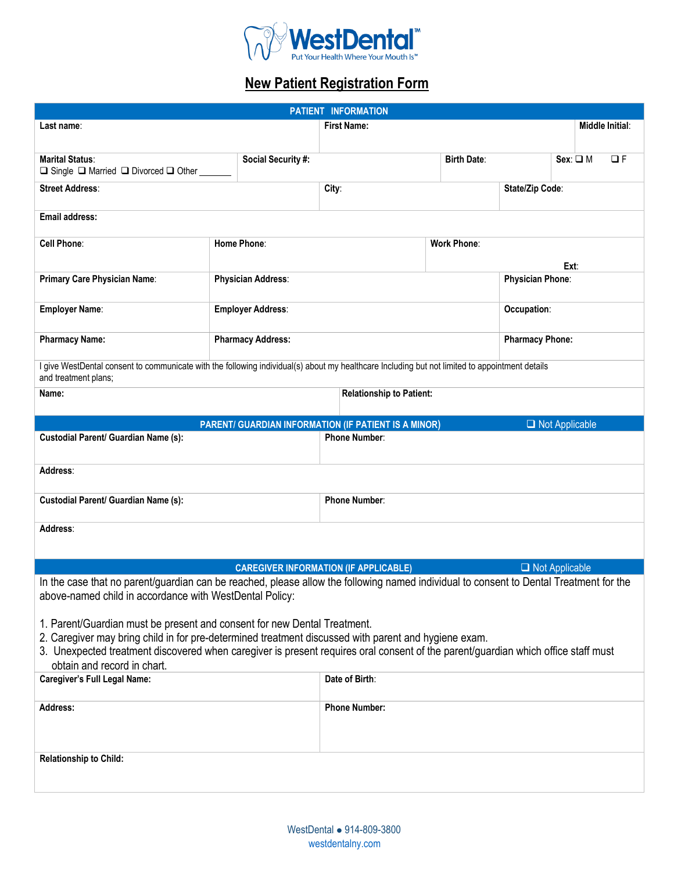

# **New Patient Registration Form**

| PATIENT INFORMATION                                                                                                                                                                                                                                                                                                                                  |  |                           |                                                             |                                 |                        |                       |                 |  |
|------------------------------------------------------------------------------------------------------------------------------------------------------------------------------------------------------------------------------------------------------------------------------------------------------------------------------------------------------|--|---------------------------|-------------------------------------------------------------|---------------------------------|------------------------|-----------------------|-----------------|--|
| Last name:                                                                                                                                                                                                                                                                                                                                           |  |                           | <b>First Name:</b>                                          |                                 |                        |                       | Middle Initial: |  |
|                                                                                                                                                                                                                                                                                                                                                      |  |                           |                                                             |                                 |                        |                       |                 |  |
| <b>Marital Status:</b><br>$\Box$ Single $\Box$ Married $\Box$ Divorced $\Box$ Other                                                                                                                                                                                                                                                                  |  | Social Security #:        |                                                             | <b>Birth Date:</b>              |                        | $Sex: \square M$      | $\Box F$        |  |
| <b>Street Address:</b>                                                                                                                                                                                                                                                                                                                               |  |                           | City:                                                       |                                 | State/Zip Code:        |                       |                 |  |
| Email address:                                                                                                                                                                                                                                                                                                                                       |  |                           |                                                             |                                 |                        |                       |                 |  |
| <b>Cell Phone:</b>                                                                                                                                                                                                                                                                                                                                   |  | Home Phone:               | <b>Work Phone:</b>                                          |                                 |                        |                       |                 |  |
|                                                                                                                                                                                                                                                                                                                                                      |  |                           | Ext:                                                        |                                 |                        |                       |                 |  |
| Primary Care Physician Name:                                                                                                                                                                                                                                                                                                                         |  | <b>Physician Address:</b> |                                                             | Physician Phone:                |                        |                       |                 |  |
| <b>Employer Name:</b>                                                                                                                                                                                                                                                                                                                                |  | <b>Employer Address:</b>  |                                                             |                                 | Occupation:            |                       |                 |  |
| <b>Pharmacy Name:</b>                                                                                                                                                                                                                                                                                                                                |  | <b>Pharmacy Address:</b>  |                                                             |                                 | <b>Pharmacy Phone:</b> |                       |                 |  |
| I give WestDental consent to communicate with the following individual(s) about my healthcare Including but not limited to appointment details<br>and treatment plans;                                                                                                                                                                               |  |                           |                                                             |                                 |                        |                       |                 |  |
| Name:                                                                                                                                                                                                                                                                                                                                                |  |                           |                                                             | <b>Relationship to Patient:</b> |                        |                       |                 |  |
|                                                                                                                                                                                                                                                                                                                                                      |  |                           | <b>PARENT/ GUARDIAN INFORMATION (IF PATIENT IS A MINOR)</b> |                                 |                        | $\Box$ Not Applicable |                 |  |
| <b>Custodial Parent/ Guardian Name (s):</b>                                                                                                                                                                                                                                                                                                          |  | <b>Phone Number:</b>      |                                                             |                                 |                        |                       |                 |  |
| Address:                                                                                                                                                                                                                                                                                                                                             |  |                           |                                                             |                                 |                        |                       |                 |  |
| Custodial Parent/ Guardian Name (s):                                                                                                                                                                                                                                                                                                                 |  | <b>Phone Number:</b>      |                                                             |                                 |                        |                       |                 |  |
| Address:                                                                                                                                                                                                                                                                                                                                             |  |                           |                                                             |                                 |                        |                       |                 |  |
|                                                                                                                                                                                                                                                                                                                                                      |  |                           |                                                             |                                 |                        |                       |                 |  |
| $\Box$ Not Applicable<br><b>CAREGIVER INFORMATION (IF APPLICABLE)</b>                                                                                                                                                                                                                                                                                |  |                           |                                                             |                                 |                        |                       |                 |  |
| In the case that no parent/guardian can be reached, please allow the following named individual to consent to Dental Treatment for the<br>above-named child in accordance with WestDental Policy:                                                                                                                                                    |  |                           |                                                             |                                 |                        |                       |                 |  |
| 1. Parent/Guardian must be present and consent for new Dental Treatment.<br>2. Caregiver may bring child in for pre-determined treatment discussed with parent and hygiene exam.<br>3. Unexpected treatment discovered when caregiver is present requires oral consent of the parent/guardian which office staff must<br>obtain and record in chart. |  |                           |                                                             |                                 |                        |                       |                 |  |
| <b>Caregiver's Full Legal Name:</b>                                                                                                                                                                                                                                                                                                                  |  | Date of Birth:            |                                                             |                                 |                        |                       |                 |  |
| Address:                                                                                                                                                                                                                                                                                                                                             |  | <b>Phone Number:</b>      |                                                             |                                 |                        |                       |                 |  |
| Relationship to Child:                                                                                                                                                                                                                                                                                                                               |  |                           |                                                             |                                 |                        |                       |                 |  |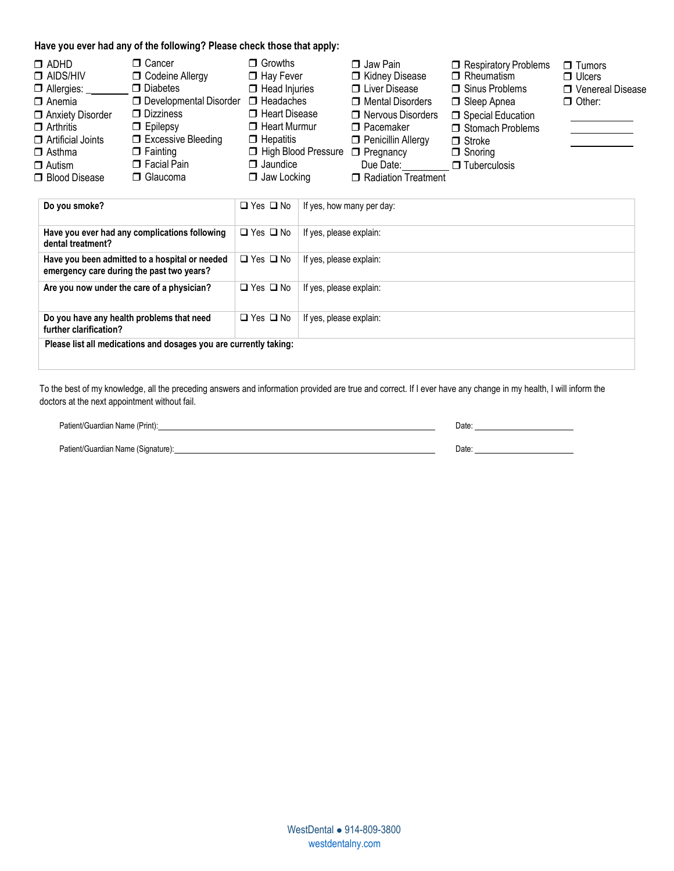#### **Have you ever had any of the following? Please check those that apply:**

| □ Cancer<br>$\Box$ ADHD<br>$\Box$ AIDS/HIV<br>$\Box$ Allergies:<br>$\Box$ Anemia<br>Anxiety Disorder<br>$\Box$ Arthritis<br>$\Box$ Artificial Joints<br>$\Box$ Fainting<br>$\Box$ Asthma<br>$\Box$ Autism<br>□ Blood Disease | <b>D</b> Codeine Allergy<br>$\Box$ Diabetes<br>$\Box$ Developmental Disorder $\Box$ Headaches<br>$\Box$ Dizziness<br>$\Box$ Epilepsy<br>□ Excessive Bleeding<br>$\Box$ Facial Pain<br>□ Glaucoma | $\Box$ Growths<br>$\Box$ Hay Fever<br>$\Box$ Head Injuries<br>□ Heart Disease<br>$\Box$ Heart Murmur<br>$\Box$ Hepatitis<br>High Blood Pressure<br>$\Box$ Jaundice<br>$\Box$ Jaw Locking | $\Box$ Jaw Pain<br>Kidney Disease<br><b>U</b> Liver Disease<br>□ Mental Disorders<br>□ Nervous Disorders<br>$\Box$ Pacemaker<br>Penicillin Allergy<br>$\Box$ Pregnancy<br>Due Date:<br>Radiation Treatment | Respiratory Problems<br>$\Box$ Rheumatism<br>$\Box$ Sinus Problems<br>□ Sleep Apnea<br>Special Education<br>Stomach Problems<br>$\Box$ Stroke<br>$\Box$ Snoring<br>$\Box$ Tuberculosis | $\Box$ Tumors<br>$\Box$ Ulcers<br>□ Venereal Disease<br>$\Box$ Other: |
|------------------------------------------------------------------------------------------------------------------------------------------------------------------------------------------------------------------------------|--------------------------------------------------------------------------------------------------------------------------------------------------------------------------------------------------|------------------------------------------------------------------------------------------------------------------------------------------------------------------------------------------|------------------------------------------------------------------------------------------------------------------------------------------------------------------------------------------------------------|----------------------------------------------------------------------------------------------------------------------------------------------------------------------------------------|-----------------------------------------------------------------------|
|------------------------------------------------------------------------------------------------------------------------------------------------------------------------------------------------------------------------------|--------------------------------------------------------------------------------------------------------------------------------------------------------------------------------------------------|------------------------------------------------------------------------------------------------------------------------------------------------------------------------------------------|------------------------------------------------------------------------------------------------------------------------------------------------------------------------------------------------------------|----------------------------------------------------------------------------------------------------------------------------------------------------------------------------------------|-----------------------------------------------------------------------|

| Do you smoke?                                                                               | $\Box$ Yes $\Box$ No | If yes, how many per day: |
|---------------------------------------------------------------------------------------------|----------------------|---------------------------|
| Have you ever had any complications following<br>dental treatment?                          | $\Box$ Yes $\Box$ No | If yes, please explain:   |
| Have you been admitted to a hospital or needed<br>emergency care during the past two years? | $\Box$ Yes $\Box$ No | If yes, please explain:   |
| Are you now under the care of a physician?                                                  | $\Box$ Yes $\Box$ No | If yes, please explain:   |
| Do you have any health problems that need<br>further clarification?                         | $\Box$ Yes $\Box$ No | If yes, please explain:   |
| Please list all medications and dosages you are currently taking:                           |                      |                           |

To the best of my knowledge, all the preceding answers and information provided are true and correct. If I ever have any change in my health, I will inform the doctors at the next appointment without fail.

| Patient/Guardian Name (Print):     | Date |
|------------------------------------|------|
|                                    |      |
| Patient/Guardian Name (Signature): | Date |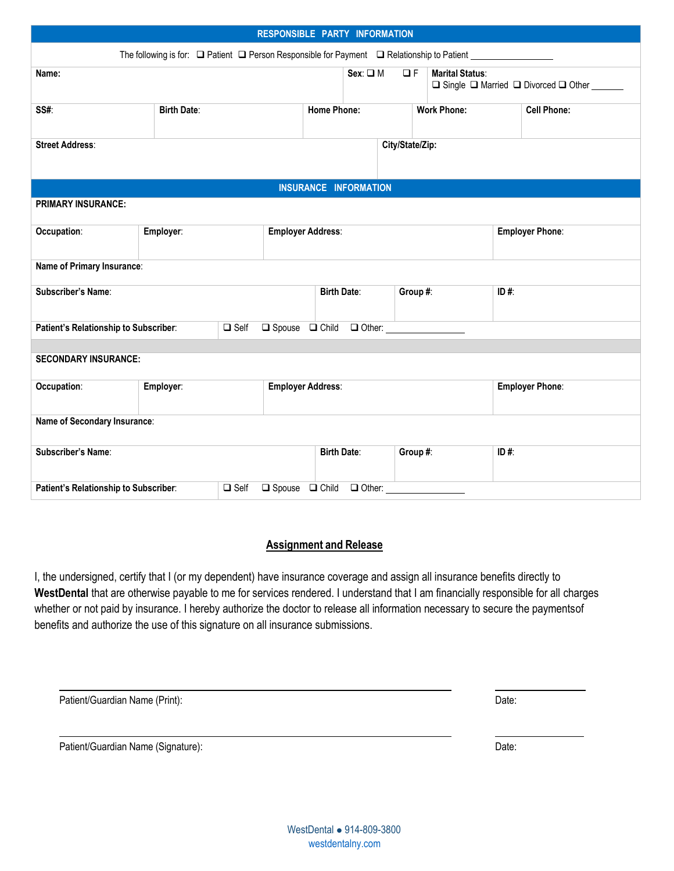| RESPONSIBLE PARTY INFORMATION         |  |                                                                                                           |                                                 |                                                     |      |                                              |                        |
|---------------------------------------|--|-----------------------------------------------------------------------------------------------------------|-------------------------------------------------|-----------------------------------------------------|------|----------------------------------------------|------------------------|
|                                       |  | The following is for: □ Patient □ Person Responsible for Payment □ Relationship to Patient ______________ |                                                 |                                                     |      |                                              |                        |
| Name:                                 |  |                                                                                                           |                                                 | $Sex: \Box M$<br>$\Box F$<br><b>Marital Status:</b> |      | □ Single □ Married □ Divorced □ Other ______ |                        |
| SS#:<br><b>Birth Date:</b>            |  |                                                                                                           | <b>Home Phone:</b>                              | <b>Work Phone:</b>                                  |      |                                              | <b>Cell Phone:</b>     |
| <b>Street Address:</b>                |  |                                                                                                           |                                                 | City/State/Zip:                                     |      |                                              |                        |
|                                       |  |                                                                                                           | <b>INSURANCE INFORMATION</b>                    |                                                     |      |                                              |                        |
| <b>PRIMARY INSURANCE:</b>             |  |                                                                                                           |                                                 |                                                     |      |                                              |                        |
| Employer:<br>Occupation:              |  |                                                                                                           | <b>Employer Address:</b>                        |                                                     |      | <b>Employer Phone:</b>                       |                        |
| Name of Primary Insurance:            |  |                                                                                                           |                                                 |                                                     |      |                                              |                        |
| Subscriber's Name:                    |  | <b>Birth Date:</b>                                                                                        | Group #:                                        |                                                     | ID#: |                                              |                        |
| Patient's Relationship to Subscriber: |  | $\Box$ Self                                                                                               | □ Spouse □ Child □ Other: <u>______________</u> |                                                     |      |                                              |                        |
| <b>SECONDARY INSURANCE:</b>           |  |                                                                                                           |                                                 |                                                     |      |                                              |                        |
| Occupation:<br>Employer:              |  |                                                                                                           | <b>Employer Address:</b>                        |                                                     |      |                                              | <b>Employer Phone:</b> |
| Name of Secondary Insurance:          |  |                                                                                                           |                                                 |                                                     |      |                                              |                        |
| Subscriber's Name:                    |  | <b>Birth Date:</b>                                                                                        | Group #:                                        |                                                     | ID#: |                                              |                        |
| Patient's Relationship to Subscriber: |  | $\Box$ Self                                                                                               | $\Box$ Spouse $\Box$ Child<br>$\Box$ Other:     |                                                     |      |                                              |                        |

### **Assignment and Release**

I, the undersigned, certify that I (or my dependent) have insurance coverage and assign all insurance benefits directly to **WestDental** that are otherwise payable to me for services rendered. I understand that I am financially responsible for all charges whether or not paid by insurance. I hereby authorize the doctor to release all information necessary to secure the paymentsof benefits and authorize the use of this signature on all insurance submissions.

| Patient/Guardian Name (Print): | Jate: |
|--------------------------------|-------|
|                                |       |

Patient/Guardian Name (Signature): Date: Date: Date: Date: Date: Date: Date: Date: Date: Date: Date: Date: Date: Date: Date: Date: Date: Date: Date: Date: Date: Date: Date: Date: Date: Date: Date: Date: Date: Date: Date: D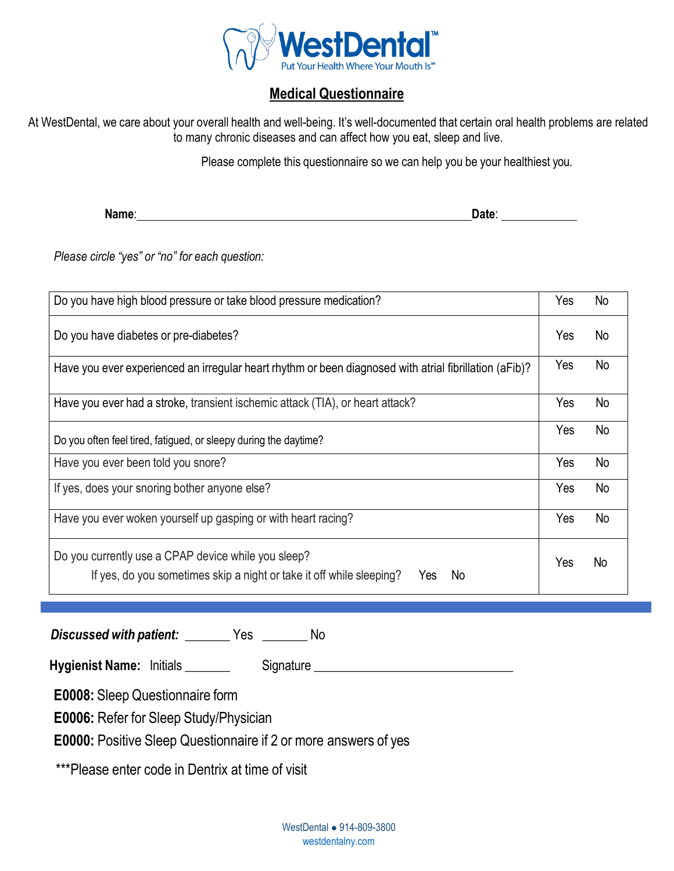

## **Medical Questionnaire**

At WestDental, we care about your overall health and well-being. It's well-documented that certain oral health problems are related to many chronic diseases and can affect how you eat, sleep and live.

Please complete this questionnaire so we can help you be your healthiest you.

**Name**: **Date**:

*Please circle "yes" or "no" for each question:*

| Do you have high blood pressure or take blood pressure medication?                                                                       | Yes | No             |
|------------------------------------------------------------------------------------------------------------------------------------------|-----|----------------|
| Do you have diabetes or pre-diabetes?                                                                                                    | Yes | No             |
| Have you ever experienced an irregular heart rhythm or been diagnosed with atrial fibrillation (aFib)?                                   | Yes | No             |
| Have you ever had a stroke, transient ischemic attack (TIA), or heart attack?                                                            | Yes | No             |
| Do you often feel tired, fatigued, or sleepy during the daytime?                                                                         | Yes | No             |
| Have you ever been told you snore?                                                                                                       | Yes | No             |
| If yes, does your snoring bother anyone else?                                                                                            | Yes | <b>No</b>      |
| Have you ever woken yourself up gasping or with heart racing?                                                                            | Yes | N <sub>o</sub> |
| Do you currently use a CPAP device while you sleep?<br>If yes, do you sometimes skip a night or take it off while sleeping?<br>No<br>Yes |     | N <sub>o</sub> |

*Discussed with patient:* **\_\_\_\_\_\_\_** Yes **\_\_\_\_\_\_\_** No

**Hygienist Name:** Initials **Exercise Signature 2018** and 2019 and 2019 and 2019 and 2019 and 2019 and 2019 and 2019

**E0008:** Sleep Questionnaire form

**E0006:** Refer for Sleep Study/Physician

**E0000:** Positive Sleep Questionnaire if 2 or more answers of yes

\*\*\*Please enter code in Dentrix at time of visit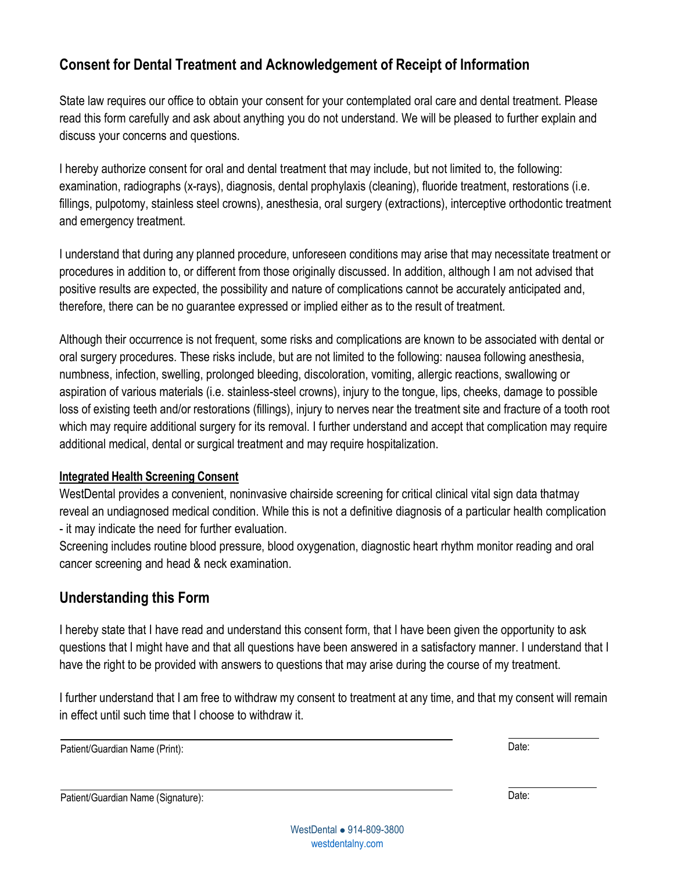## **Consent for Dental Treatment and Acknowledgement of Receipt of Information**

State law requires our office to obtain your consent for your contemplated oral care and dental treatment. Please read this form carefully and ask about anything you do not understand. We will be pleased to further explain and discuss your concerns and questions.

I hereby authorize consent for oral and dental treatment that may include, but not limited to, the following: examination, radiographs (x-rays), diagnosis, dental prophylaxis (cleaning), fluoride treatment, restorations (i.e. fillings, pulpotomy, stainless steel crowns), anesthesia, oral surgery (extractions), interceptive orthodontic treatment and emergency treatment.

I understand that during any planned procedure, unforeseen conditions may arise that may necessitate treatment or procedures in addition to, or different from those originally discussed. In addition, although I am not advised that positive results are expected, the possibility and nature of complications cannot be accurately anticipated and, therefore, there can be no guarantee expressed or implied either as to the result of treatment.

Although their occurrence is not frequent, some risks and complications are known to be associated with dental or oral surgery procedures. These risks include, but are not limited to the following: nausea following anesthesia, numbness, infection, swelling, prolonged bleeding, discoloration, vomiting, allergic reactions, swallowing or aspiration of various materials (i.e. stainless-steel crowns), injury to the tongue, lips, cheeks, damage to possible loss of existing teeth and/or restorations (fillings), injury to nerves near the treatment site and fracture of a tooth root which may require additional surgery for its removal. I further understand and accept that complication may require additional medical, dental or surgical treatment and may require hospitalization.

### **Integrated Health Screening Consent**

WestDental provides a convenient, noninvasive chairside screening for critical clinical vital sign data thatmay reveal an undiagnosed medical condition. While this is not a definitive diagnosis of a particular health complication - it may indicate the need for further evaluation.

Screening includes routine blood pressure, blood oxygenation, diagnostic heart rhythm monitor reading and oral cancer screening and head & neck examination.

## **Understanding this Form**

I hereby state that I have read and understand this consent form, that I have been given the opportunity to ask questions that I might have and that all questions have been answered in a satisfactory manner. I understand that I have the right to be provided with answers to questions that may arise during the course of my treatment.

I further understand that I am free to withdraw my consent to treatment at any time, and that my consent will remain in effect until such time that I choose to withdraw it.

Patient/Guardian Name (Print): Date:

Patient/Guardian Name (Signature): Date: Date: Date: Date: Date: Date: Date: Date: Date: Date: Date: Date: Date: Date: Date: Date: Date: Date: Date: Date: Date: Date: Date: Date: Date: Date: Date: Date: Date: Date: Date: D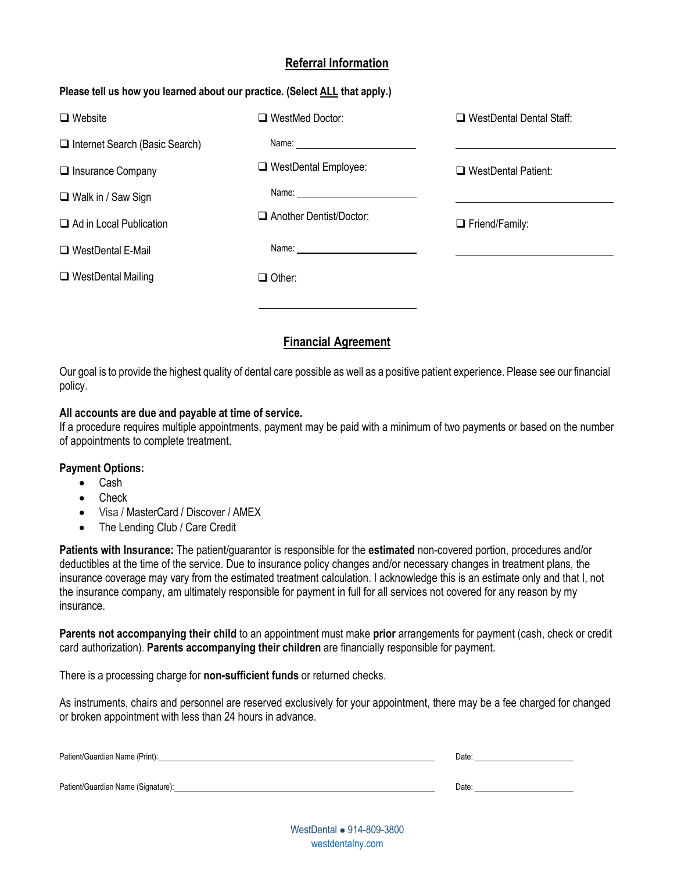### **Referral Information**

#### **Please tell us how you learned about our practice. (Select ALL that apply.)**

| $\Box$ Website                        | $\Box$ WestMed Doctor:         | $\Box$ WestDental Dental Staff: |
|---------------------------------------|--------------------------------|---------------------------------|
| $\Box$ Internet Search (Basic Search) |                                |                                 |
| $\Box$ Insurance Company              | □ WestDental Employee:         | $\Box$ WestDental Patient:      |
| $\Box$ Walk in / Saw Sign             |                                |                                 |
| $\Box$ Ad in Local Publication        | $\Box$ Another Dentist/Doctor: | $\Box$ Friend/Family:           |
| □ WestDental E-Mail                   |                                |                                 |
| $\Box$ WestDental Mailing             | $\Box$ Other:                  |                                 |
|                                       |                                |                                 |

### **Financial Agreement**

Our goal is to provide the highest quality of dental care possible as well as a positive patient experience. Please see our financial policy.

#### **All accounts are due and payable at time of service.**

If a procedure requires multiple appointments, payment may be paid with a minimum of two payments or based on the number of appointments to complete treatment.

#### **Payment Options:**

- Cash
- Check
- Visa / MasterCard / Discover / AMEX
- The Lending Club / Care Credit

**Patients with Insurance:** The patient/guarantor is responsible for the **estimated** non-covered portion, procedures and/or deductibles at the time of the service. Due to insurance policy changes and/or necessary changes in treatment plans, the insurance coverage may vary from the estimated treatment calculation. I acknowledge this is an estimate only and that I, not the insurance company, am ultimately responsible for payment in full for all services not covered for any reason by my insurance.

**Parents not accompanying their child** to an appointment must make **prior** arrangements for payment (cash, check or credit card authorization). **Parents accompanying their children** are financially responsible for payment.

There is a processing charge for **non-sufficient funds** or returned checks.

As instruments, chairs and personnel are reserved exclusively for your appointment, there may be a fee charged for changed or broken appointment with less than 24 hours in advance.

| Patient/Guardian Name (Print):     | Date: |
|------------------------------------|-------|
| Patient/Guardian Name (Signature): | Date: |

WestDental ⚫ 914-809-3800 <westdentalny.com>